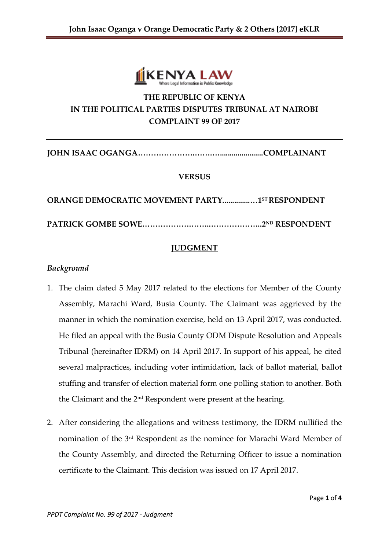

# **THE REPUBLIC OF KENYA IN THE POLITICAL PARTIES DISPUTES TRIBUNAL AT NAIROBI COMPLAINT 99 OF 2017**

**JOHN ISAAC OGANGA………………….…….…......................COMPLAINANT**

### **VERSUS**

**ORANGE DEMOCRATIC MOVEMENT PARTY..............…1ST RESPONDENT**

**PATRICK GOMBE SOWE……………….……..………………..2ND RESPONDENT**

# **JUDGMENT**

#### *Background*

- 1. The claim dated 5 May 2017 related to the elections for Member of the County Assembly, Marachi Ward, Busia County. The Claimant was aggrieved by the manner in which the nomination exercise, held on 13 April 2017, was conducted. He filed an appeal with the Busia County ODM Dispute Resolution and Appeals Tribunal (hereinafter IDRM) on 14 April 2017. In support of his appeal, he cited several malpractices, including voter intimidation, lack of ballot material, ballot stuffing and transfer of election material form one polling station to another. Both the Claimant and the 2nd Respondent were present at the hearing.
- 2. After considering the allegations and witness testimony, the IDRM nullified the nomination of the 3rd Respondent as the nominee for Marachi Ward Member of the County Assembly, and directed the Returning Officer to issue a nomination certificate to the Claimant. This decision was issued on 17 April 2017.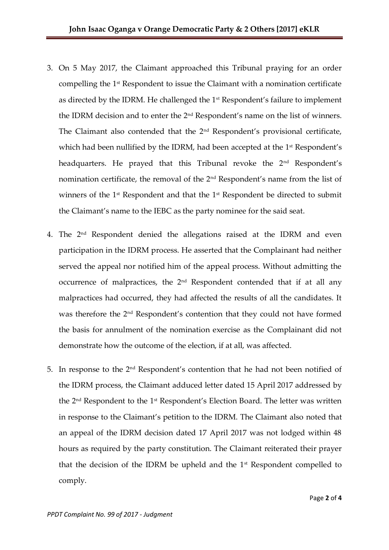- 3. On 5 May 2017, the Claimant approached this Tribunal praying for an order compelling the  $1<sup>st</sup>$  Respondent to issue the Claimant with a nomination certificate as directed by the IDRM. He challenged the 1<sup>st</sup> Respondent's failure to implement the IDRM decision and to enter the 2nd Respondent's name on the list of winners. The Claimant also contended that the 2<sup>nd</sup> Respondent's provisional certificate, which had been nullified by the IDRM, had been accepted at the 1<sup>st</sup> Respondent's headquarters. He prayed that this Tribunal revoke the 2<sup>nd</sup> Respondent's nomination certificate, the removal of the 2nd Respondent's name from the list of winners of the 1<sup>st</sup> Respondent and that the 1<sup>st</sup> Respondent be directed to submit the Claimant's name to the IEBC as the party nominee for the said seat.
- 4. The 2nd Respondent denied the allegations raised at the IDRM and even participation in the IDRM process. He asserted that the Complainant had neither served the appeal nor notified him of the appeal process. Without admitting the occurrence of malpractices, the 2<sup>nd</sup> Respondent contended that if at all any malpractices had occurred, they had affected the results of all the candidates. It was therefore the 2nd Respondent's contention that they could not have formed the basis for annulment of the nomination exercise as the Complainant did not demonstrate how the outcome of the election, if at all, was affected.
- 5. In response to the 2nd Respondent's contention that he had not been notified of the IDRM process, the Claimant adduced letter dated 15 April 2017 addressed by the 2nd Respondent to the 1st Respondent's Election Board. The letter was written in response to the Claimant's petition to the IDRM. The Claimant also noted that an appeal of the IDRM decision dated 17 April 2017 was not lodged within 48 hours as required by the party constitution. The Claimant reiterated their prayer that the decision of the IDRM be upheld and the  $1<sup>st</sup>$  Respondent compelled to comply.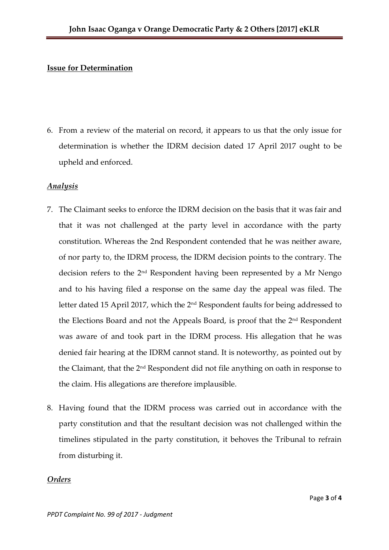#### **Issue for Determination**

6. From a review of the material on record, it appears to us that the only issue for determination is whether the IDRM decision dated 17 April 2017 ought to be upheld and enforced.

#### *Analysis*

- 7. The Claimant seeks to enforce the IDRM decision on the basis that it was fair and that it was not challenged at the party level in accordance with the party constitution. Whereas the 2nd Respondent contended that he was neither aware, of nor party to, the IDRM process, the IDRM decision points to the contrary. The decision refers to the 2nd Respondent having been represented by a Mr Nengo and to his having filed a response on the same day the appeal was filed. The letter dated 15 April 2017, which the 2nd Respondent faults for being addressed to the Elections Board and not the Appeals Board, is proof that the 2<sup>nd</sup> Respondent was aware of and took part in the IDRM process. His allegation that he was denied fair hearing at the IDRM cannot stand. It is noteworthy, as pointed out by the Claimant, that the 2nd Respondent did not file anything on oath in response to the claim. His allegations are therefore implausible.
- 8. Having found that the IDRM process was carried out in accordance with the party constitution and that the resultant decision was not challenged within the timelines stipulated in the party constitution, it behoves the Tribunal to refrain from disturbing it.

#### *Orders*